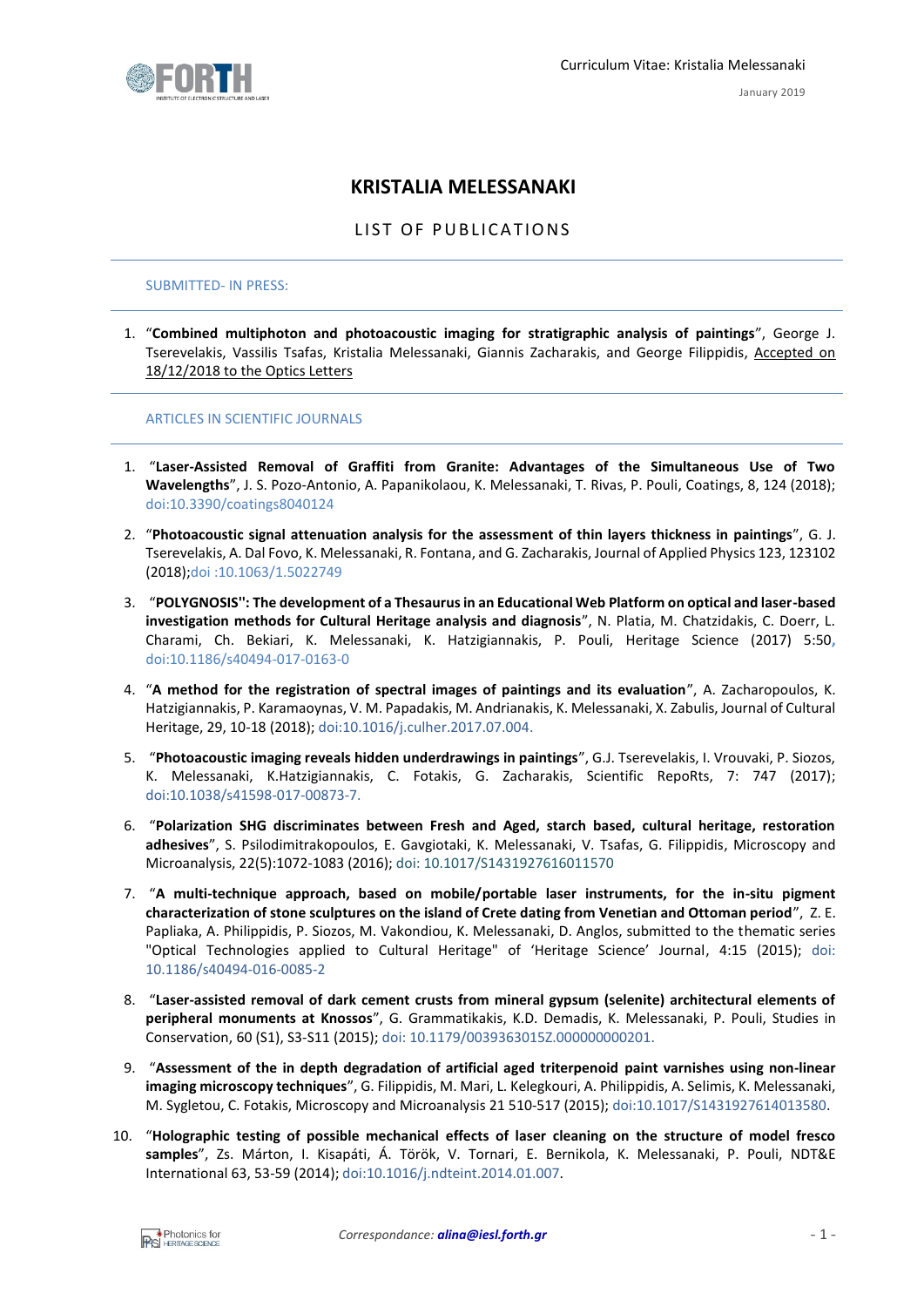

# **KRISTALIA MELESSANAKI**

LIST OF PUBLICATIONS

#### SUBMITTED- IN PRESS:

1. "**Combined multiphoton and photoacoustic imaging for stratigraphic analysis of paintings**", George J. Tserevelakis, Vassilis Tsafas, Kristalia Melessanaki, Giannis Zacharakis, and George Filippidis, Accepted on 18/12/2018 to the Optics Letters

#### ARTICLES IN SCIENTIFIC JOURNALS

- 1. "**Laser-Assisted Removal of Graffiti from Granite: Advantages of the Simultaneous Use of Two Wavelengths**", J. S. Pozo-Antonio, A. Papanikolaou, K. Melessanaki, T. Rivas, P. Pouli, Coatings, 8, 124 (2018); [doi:10.3390/coatings8040124](https://doi.org/10.3390/coatings8040124)
- 2. "**Photoacoustic signal attenuation analysis for the assessment of thin layers thickness in paintings**", G. J. Tserevelakis, A. Dal Fovo, K. Melessanaki, R. Fontana, and G. Zacharakis, Journal of Applied Physics 123, 123102 (2018)[;doi :10.1063/1.5022749](https://doi.org/10.1063/1.5022749)
- 3. "**POLYGNOSIS'': The development of a Thesaurus in an Educational Web Platform on optical and laser-based investigation methods for Cultural Heritage analysis and diagnosis**", N. Platia, M. Chatzidakis, C. Doerr, L. Charami, Ch. Bekiari, K. Melessanaki, K. Hatzigiannakis, P. Pouli, Heritage Science (2017) 5:50**,**  [doi:10.1186/s40494-017-0163-0](https://doi.org/10.1186/s40494-017-0163-0)
- 4. "**A method for the registration of spectral images of paintings and its evaluation**", A. Zacharopoulos, K. Hatzigiannakis, P. Karamaoynas, V. M. Papadakis, M. Andrianakis, K. Melessanaki, X. Zabulis, Journal of Cultural Heritage, 29, 10-18 (2018); [doi:10.1016/j.culher.2017.07.004.](https://doi.org/10.1016/j.culher.2017.07.004)
- 5. "**Photoacoustic imaging reveals hidden underdrawings in paintings**", G.J. Tserevelakis, I. Vrouvaki, P. Siozos, K. Melessanaki, K.Hatzigiannakis, C. Fotakis, G. Zacharakis, Scientific RepoRts, 7: 747 (2017); [doi:10.1038/s41598-017-00873-7.](http://dx.doi.org/10.1038/s41598-017-00873-7)
- 6. "**Polarization SHG discriminates between Fresh and Aged, starch based, cultural heritage, restoration adhesives**", S. Psilodimitrakopoulos, E. Gavgiotaki, K. Melessanaki, V. Tsafas, G. Filippidis, Microscopy and Microanalysis, 22(5):1072-1083 (2016); [doi: 10.1017/S1431927616011570](https://doi.org/10.1017/S1431927616011570)
- 7. "**A multi-technique approach, based on mobile/portable laser instruments, for the in-situ pigment characterization of stone sculptures on the island of Crete dating from Venetian and Ottoman period**", Z. E. Papliaka, A. Philippidis, P. Siozos, M. Vakondiou, K. Melessanaki, D. Anglos, submitted to the thematic series "Optical Technologies applied to Cultural Heritage" of 'Heritage Science' Journal, 4:15 (2015); [doi:](https://doi.org/10.1186/s40494-016-0085-2)  [10.1186/s40494-016-0085-2](https://doi.org/10.1186/s40494-016-0085-2)
- 8. "**Laser-assisted removal of dark cement crusts from mineral gypsum (selenite) architectural elements of peripheral monuments at Knossos**", G. Grammatikakis, K.D. Demadis, K. Melessanaki, P. Pouli, Studies in Conservation, 60 (S1), S3-S11 (2015); [doi: 10.1179/0039363015Z.000000000201.](http://dx.doi.org/10.1179/0039363015Z.000000000201)
- 9. "**Assessment of the in depth degradation of artificial aged triterpenoid paint varnishes using non-linear imaging microscopy techniques**", G. Filippidis, M. Mari, L. Kelegkouri, A. Philippidis, A. Selimis, K. Melessanaki, M. Sygletou, C. Fotakis, Microscopy and Microanalysis 21 510-517 (2015); [doi:10.1017/S1431927614013580.](http://dx.doi.org/10.1017/S1431927614013580)
- 10. "**Holographic testing of possible mechanical effects of laser cleaning on the structure of model fresco samples**", Zs. Márton, I. Kisapáti, Á. Török, V. Tornari, E. Bernikola, K. Melessanaki, P. Pouli, NDT&E International 63, 53-59 (2014); [doi:10.1016/j.ndteint.2014.01.007.](http://dx.doi.org/10.1016/j.ndteint.2014.01.007)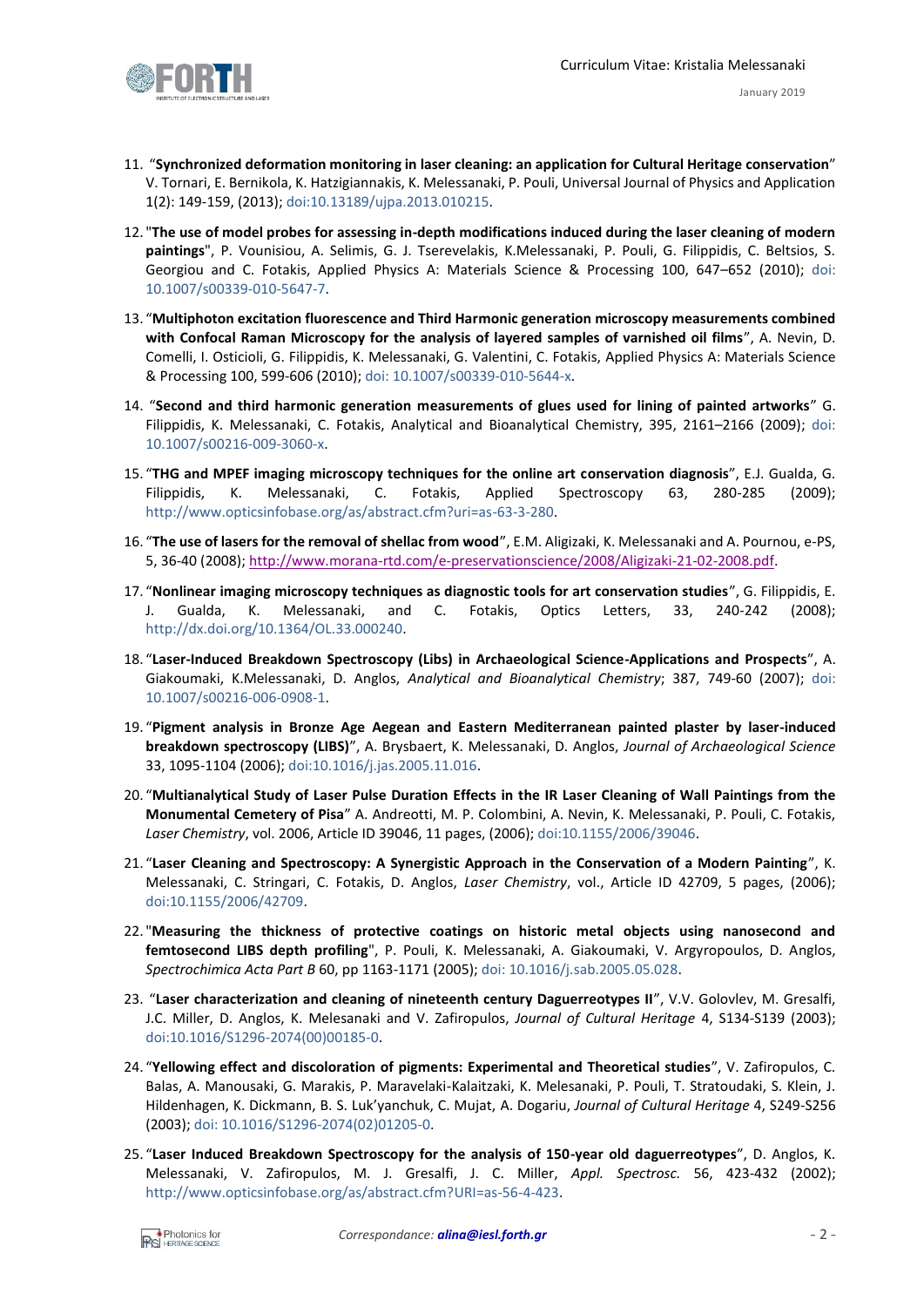

- January 2019
- 11. "**Synchronized deformation monitoring in laser cleaning: an application for Cultural Heritage conservation**" V. Tornari, E. Bernikola, K. Hatzigiannakis, K. Melessanaki, P. Pouli, Universal Journal of Physics and Application 1(2): 149-159, (2013); doi[:10.13189/ujpa.2013.010215.](http://www.hrpub.org/journals/article_info.php?aid=432)
- 12. "**The use of model probes for assessing in-depth modifications induced during the laser cleaning of modern paintings**", P. Vounisiou, A. Selimis, G. J. Tserevelakis, K.Melessanaki, P. Pouli, G. Filippidis, C. Beltsios, S. Georgiou and C. Fotakis, Applied Physics A: Materials Science & Processing 100, 647–652 (2010); doi: [10.1007/s00339-010-5647-7.](http://link.springer.com/article/10.1007/s00339-010-5647-7)
- 13. "**Multiphoton excitation fluorescence and Third Harmonic generation microscopy measurements combined with Confocal Raman Microscopy for the analysis of layered samples of varnished oil films**", A. Nevin, D. Comelli, I. Osticioli, G. Filippidis, K. Melessanaki, G. Valentini, C. Fotakis, Applied Physics A: Materials Science & Processing 100, 599-606 (2010); doi: [10.1007/s00339-010-5644-x.](http://link.springer.com/article/10.1007%2Fs00339-010-5644-x)
- 14. "**Second and third harmonic generation measurements of glues used for lining of painted artworks**" G. Filippidis, K. Melessanaki, C. Fotakis, Analytical and Bioanalytical Chemistry, 395, 2161–2166 (2009); [doi:](http://link.springer.com/article/10.1007%2Fs00216-009-3060-x) [10.1007/s00216-009-3060-x.](http://link.springer.com/article/10.1007%2Fs00216-009-3060-x)
- 15. "**THG and MPEF imaging microscopy techniques for the online art conservation diagnosis**", E.J. Gualda, G. Filippidis, K. Melessanaki, C. Fotakis, Applied Spectroscopy 63, 280-285 (2009); [http://www.opticsinfobase.org/as/abstract.cfm?uri=as-63-3-280.](http://www.opticsinfobase.org/as/abstract.cfm?uri=as-63-3-280)
- 16. "**The use of lasers for the removal of shellac from wood**", E.M. Aligizaki, K. Melessanaki and A. Pournou, e-PS, 5, 36-40 (2008); [http://www.morana-rtd.com/e-preservationscience/2008/Aligizaki-21-02-2008.pdf.](http://www.morana-rtd.com/e-preservationscience/2008/Aligizaki-21-02-2008.pdf)
- 17. "**Nonlinear imaging microscopy techniques as diagnostic tools for art conservation studies**", G. Filippidis, E. J. Gualda, K. Melessanaki, and C. Fotakis, Optics Letters, 33, 240-242 (2008); [http://dx.doi.org/10.1364/OL.33.000240.](http://dx.doi.org/10.1364/OL.33.000240)
- 18. "**Laser-Induced Breakdown Spectroscopy (Libs) in Archaeological Science-Applications and Prospects**", A. Giakoumaki, K.Melessanaki, D. Anglos, *Analytical and Bioanalytical Chemistry*; 387, 749-60 (2007); [doi:](http://link.springer.com/article/10.1007%2Fs00216-006-0908-1)  [10.1007/s00216-006-0908-1.](http://link.springer.com/article/10.1007%2Fs00216-006-0908-1)
- 19. "**Pigment analysis in Bronze Age Aegean and Eastern Mediterranean painted plaster by laser-induced breakdown spectroscopy (LIBS)**", A. Brysbaert, K. Melessanaki, D. Anglos, *Journal of Archaeological Science* 33, 1095-1104 (2006); [doi:10.1016/j.jas.2005.11.016.](http://dx.doi.org/10.1016/j.jas.2005.11.016)
- 20. "**Multianalytical Study of Laser Pulse Duration Effects in the IR Laser Cleaning of Wall Paintings from the Monumental Cemetery of Pisa**" A. Andreotti, M. P. Colombini, A. Nevin, K. Melessanaki, P. Pouli, C. Fotakis, *Laser Chemistry*, vol. 2006, Article ID 39046, 11 pages, (2006); doi[:10.1155/2006/39046.](http://dx.doi.org/10.1155/2006/39046)
- 21. "**Laser Cleaning and Spectroscopy: A Synergistic Approach in the Conservation of a Modern Painting**", K. Melessanaki, C. Stringari, C. Fotakis, D. Anglos, *Laser Chemistry*, vol., Article ID 42709, 5 pages, (2006); [doi:10.1155/2006/42709.](http://dx.doi.org/10.1155/2006/42709)
- 22. "**Measuring the thickness of protective coatings on historic metal objects using nanosecond and femtosecond LIBS depth profiling**", P. Pouli, K. Melessanaki, A. Giakoumaki, V. Argyropoulos, D. Anglos, *Spectrochimica Acta Part B* 60, pp 1163-1171 (2005); doi: [10.1016/j.sab.2005.05.028.](http://dx.doi.org/10.1016/j.sab.2005.05.028)
- 23. "**Laser characterization and cleaning of nineteenth century Daguerreotypes II**", V.V. Golovlev, M. Gresalfi, J.C. Miller, D. Anglos, K. Melesanaki and V. Zafiropulos, *Journal of Cultural Heritage* 4, S134-S139 (2003); [doi:10.1016/S1296-2074\(00\)00185-0.](http://www.sciencedirect.com/science/article/pii/S1296207400001850)
- 24. "**Yellowing effect and discoloration of pigments: Experimental and Theoretical studies**", V. Zafiropulos, C. Balas, A. Manousaki, G. Marakis, P. Maravelaki-Kalaitzaki, K. Melesanaki, P. Pouli, T. Stratoudaki, S. Klein, J. Hildenhagen, K. Dickmann, B. S. Luk'yanchuk, C. Mujat, A. Dogariu, *Journal of Cultural Heritage* 4, S249-S256 (2003); doi: [10.1016/S1296-2074\(02\)01205-0.](http://dx.doi.org/10.1016/S1296-2074(02)01205-0)
- 25. "**Laser Induced Breakdown Spectroscopy for the analysis of 150-year old daguerreotypes**", D. Anglos, K. Melessanaki, V. Zafiropulos, M. J. Gresalfi, J. C. Miller, *Appl. Spectrosc.* 56, 423-432 (2002); [http://www.opticsinfobase.org/as/abstract.cfm?URI=as-56-4-423.](http://www.opticsinfobase.org/as/abstract.cfm?URI=as-56-4-423)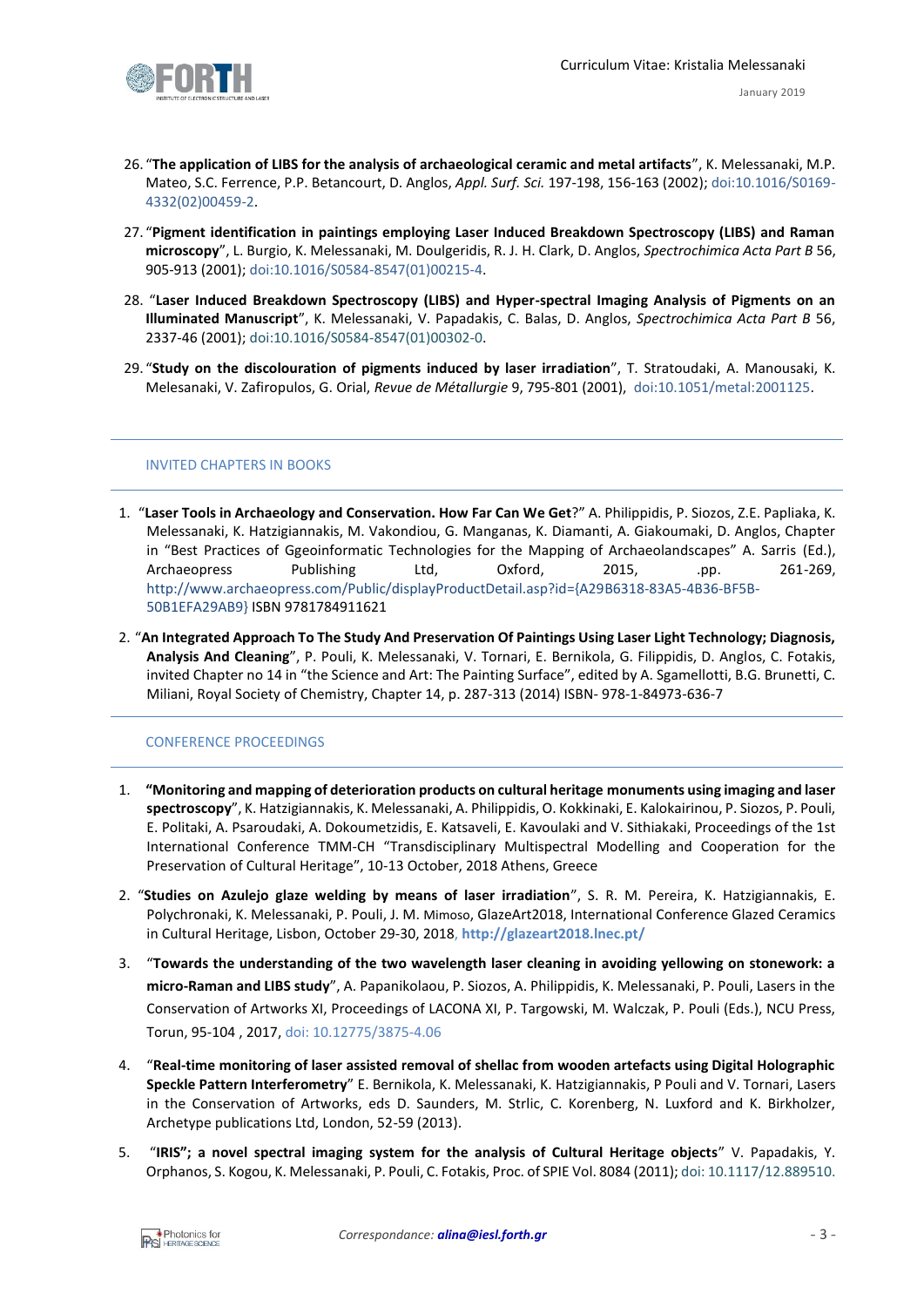

- 26. "**The application of LIBS for the analysis of archaeological ceramic and metal artifacts**", K. Melessanaki, M.P. Mateo, S.C. Ferrence, P.P. Betancourt, D. Anglos, *Appl. Surf. Sci.* 197-198, 156-163 (2002)[; doi:10.1016/S0169-](http://dx.doi.org/10.1016/S0169-4332(02)00459-2) [4332\(02\)00459-2.](http://dx.doi.org/10.1016/S0169-4332(02)00459-2)
- 27. "**Pigment identification in paintings employing Laser Induced Breakdown Spectroscopy (LIBS) and Raman microscopy**", L. Burgio, K. Melessanaki, M. Doulgeridis, R. J. H. Clark, D. Anglos, *Spectrochimica Acta Part B* 56, 905-913 (2001); [doi:10.1016/S0584-8547\(01\)00215-4.](http://dx.doi.org/10.1016/S0584-8547(01)00215-4)
- 28. "**Laser Induced Breakdown Spectroscopy (LIBS) and Hyper-spectral Imaging Analysis of Pigments on an Illuminated Manuscript**", K. Melessanaki, V. Papadakis, C. Balas, D. Anglos, *Spectrochimica Acta Part B* 56, 2337-46 (2001); [doi:10.1016/S0584-8547\(01\)00302-0.](http://dx.doi.org/10.1016/S0584-8547(01)00302-0)
- 29. "**Study on the discolouration of pigments induced by laser irradiation**", T. Stratoudaki, A. Manousaki, K. Melesanaki, V. Zafiropulos, G. Orial, *Revue de Métallurgie* 9, 795-801 (2001), [doi:10.1051/metal:2001125.](http://dx.doi.org/10.1051/metal:2001125)

### INVITED CHAPTERS IN BOOKS

- 1. "**Laser Tools in Archaeology and Conservation. How Far Can We Get**?" A. Philippidis, P. Siozos, Z.E. Papliaka, K. Melessanaki, K. Hatzigiannakis, M. Vakondiou, G. Manganas, K. Diamanti, A. Giakoumaki, D. Anglos, Chapter in "Best Practices of Ggeoinformatic Technologies for the Mapping of Archaeolandscapes" A. Sarris (Ed.), Archaeopress Publishing Ltd, Oxford, 2015, .pp. 261-269, [http://www.archaeopress.com/Public/displayProductDetail.asp?id={A29B6318-83A5-4B36-BF5B-](http://www.archaeopress.com/Public/displayProductDetail.asp?id=%7bA29B6318-83A5-4B36-BF5B-50B1EFA29AB9%7d%20)[50B1EFA29AB9}](http://www.archaeopress.com/Public/displayProductDetail.asp?id=%7bA29B6318-83A5-4B36-BF5B-50B1EFA29AB9%7d%20) ISBN 9781784911621
- 2. "**An Integrated Approach To The Study And Preservation Of Paintings Using Laser Light Technology; Diagnosis, Analysis And Cleaning**", P. Pouli, K. Melessanaki, V. Tornari, E. Bernikola, G. Filippidis, D. Anglos, C. Fotakis, invited Chapter no 14 in "the Science and Art: The Painting Surface", edited by A. Sgamellotti, B.G. Brunetti, C. Miliani, Royal Society of Chemistry, Chapter 14, p. 287-313 (2014) ISBN- 978-1-84973-636-7

## CONFERENCE PROCEEDINGS

- 1. **"Monitoring and mapping of deterioration products on cultural heritage monuments using imaging and laser spectroscopy**", K. Hatzigiannakis, K. Melessanaki, A. Philippidis, O. Kokkinaki, E. Kalokairinou, P. Siozos, P. Pouli, E. Politaki, A. Psaroudaki, A. Dokoumetzidis, E. Katsaveli, E. Kavoulaki and V. Sithiakaki, Proceedings of the 1st International Conference TMM-CH "Transdisciplinary Multispectral Modelling and Cooperation for the Preservation of Cultural Heritage", 10-13 October, 2018 Athens, Greece
- 2. "**Studies on Azulejo glaze welding by means of laser irradiation**", S. R. M. Pereira, K. Hatzigiannakis, E. Polychronaki, K. Melessanaki, P. Pouli, J. M. Mimoso, GlazeArt2018, International Conference Glazed Ceramics in Cultural Heritage, Lisbon, October 29-30, 2018, **<http://glazeart2018.lnec.pt/>**
- 3. "**Towards the understanding of the two wavelength laser cleaning in avoiding yellowing on stonework: a micro-Raman and LIBS study**", A. Papanikolaou, P. Siozos, A. Philippidis, K. Melessanaki, P. Pouli, Lasers in the Conservation of Artworks XI, Proceedings of LACONA XI, P. Targowski, M. Walczak, P. Pouli (Eds.), NCU Press, Torun, 95-104 , 2017, [doi: 10.12775/3875-4.06](https://doi.org/10.12775/3875-4.06)
- 4. "**Real-time monitoring of laser assisted removal of shellac from wooden artefacts using Digital Holographic Speckle Pattern Interferometry**" E. Bernikola, K. Melessanaki, K. Hatzigiannakis, P Pouli and V. Tornari, Lasers in the Conservation of Artworks, eds D. Saunders, M. Strlic, C. Korenberg, N. Luxford and K. Birkholzer, Archetype publications Ltd, London, 52-59 (2013).
- 5. "**IRIS"; a novel spectral imaging system for the analysis of Cultural Heritage objects**" V. Papadakis, Y. Orphanos, S. Kogou, K. Melessanaki, P. Pouli, C. Fotakis, Proc. of SPIE Vol. 8084 (2011); doi[: 10.1117/12.889510.](http://dx.doi.org/10.1117/12.889510)